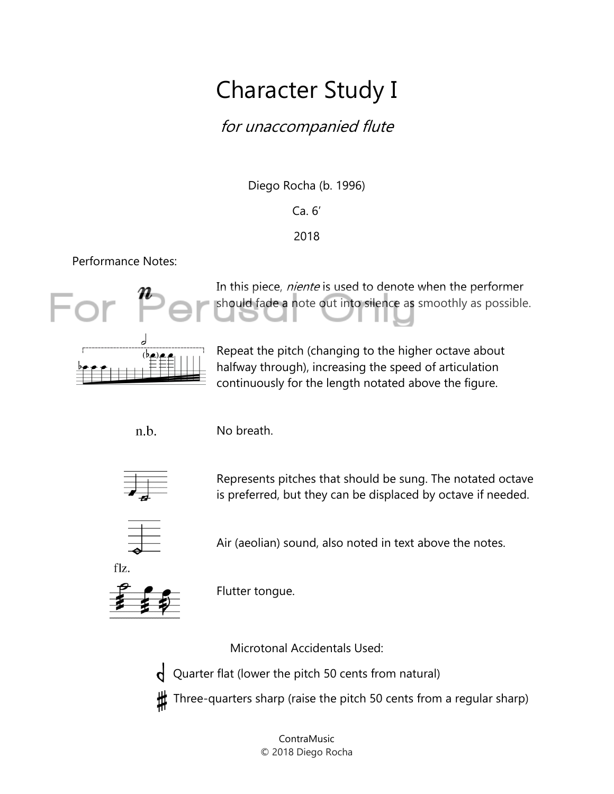## Character Study I

### for unaccompanied flute

Diego Rocha (b. 1996)

#### Ca. 6'

### 2018

Performance Notes:



In this piece, *niente* is used to denote when the performer should fade a note out into silence as smoothly as possible.



Repeat the pitch (changing to the higher octave about halfway through), increasing the speed of articulation continuously for the length notated above the figure.

n.b.

No breath.



Represents pitches that should be sung. The notated octave is preferred, but they can be displaced by octave if needed.



Air (aeolian) sound, also noted in text above the notes.



Flutter tongue.

Microtonal Accidentals Used:

Quarter flat (lower the pitch 50 cents from natural)  $\mathsf{q}$ 

Three-quarters sharp (raise the pitch 50 cents from a regular sharp)

ContraMusic © 2018 Diego Rocha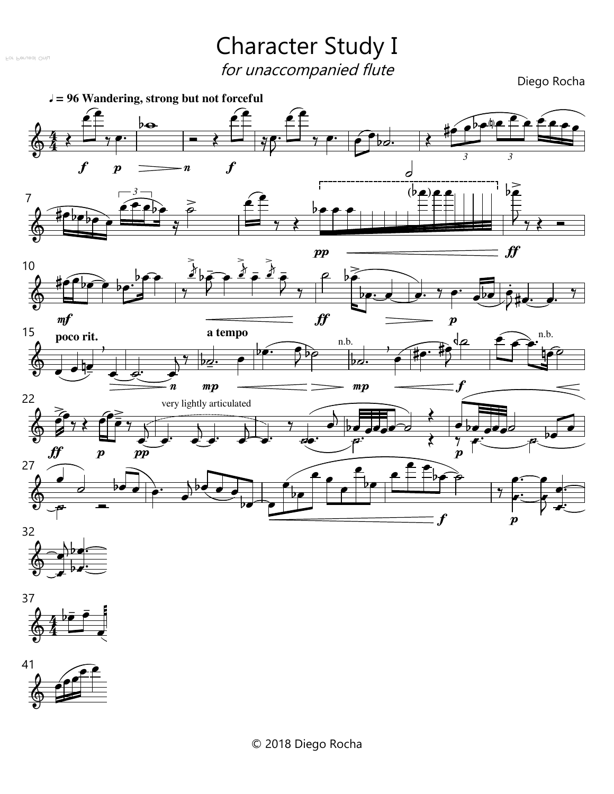#### For Perusal Only

# Character Study I

for unaccompanied flute<br>Diego Rocha

Diego Rocha







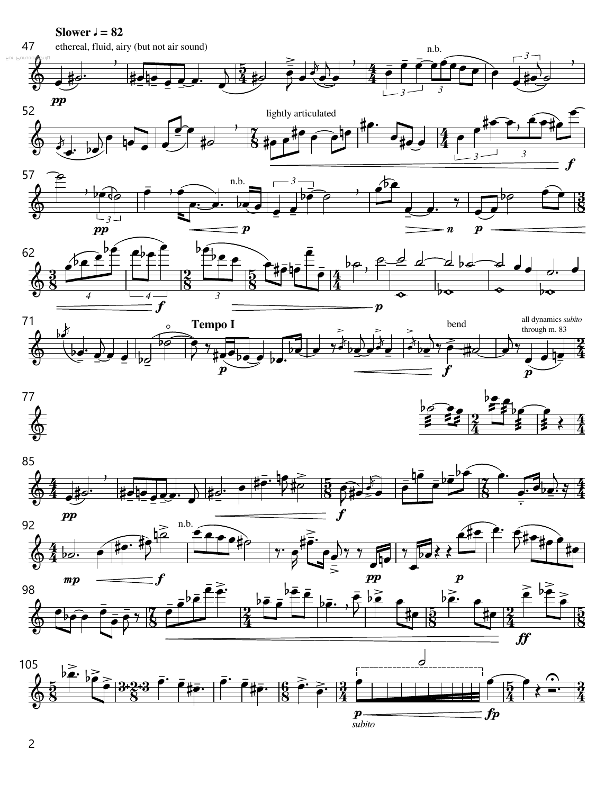

2